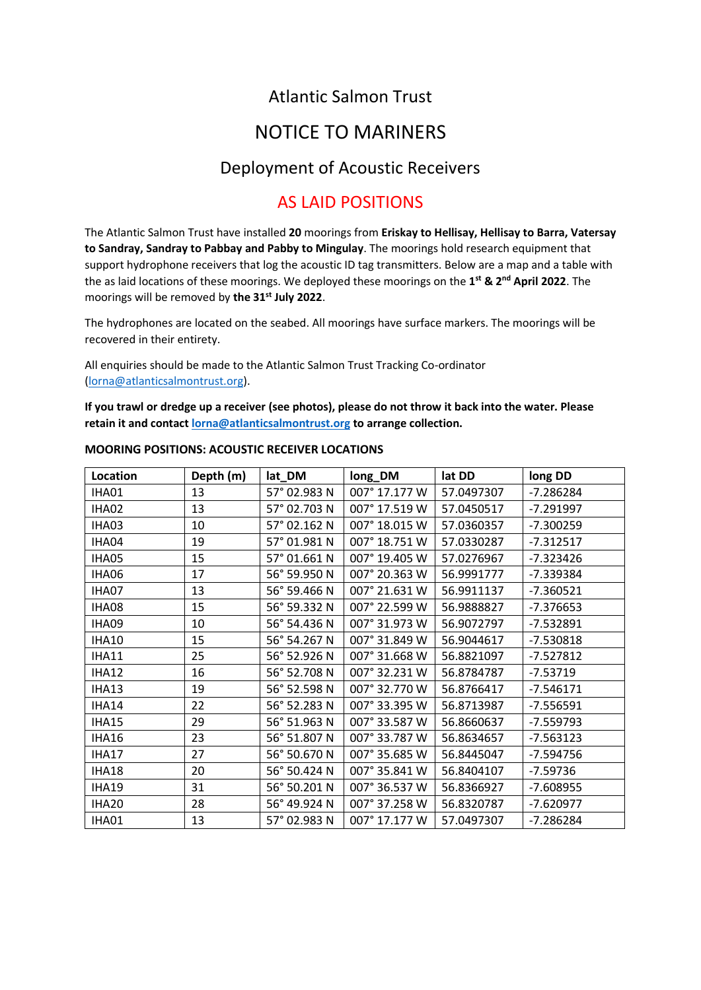## Atlantic Salmon Trust

# NOTICE TO MARINERS

#### Deployment of Acoustic Receivers

### AS LAID POSITIONS

The Atlantic Salmon Trust have installed **20** moorings from **Eriskay to Hellisay, Hellisay to Barra, Vatersay to Sandray, Sandray to Pabbay and Pabby to Mingulay**. The moorings hold research equipment that support hydrophone receivers that log the acoustic ID tag transmitters. Below are a map and a table with the as laid locations of these moorings. We deployed these moorings on the **1 st & 2 nd April 2022**. The moorings will be removed by **the 31st July 2022**.

The hydrophones are located on the seabed. All moorings have surface markers. The moorings will be recovered in their entirety.

All enquiries should be made to the Atlantic Salmon Trust Tracking Co-ordinator [\(lorna@atlanticsalmontrust.org\)](mailto:lorna@atlanticsalmontrust.org).

**If you trawl or dredge up a receiver (see photos), please do not throw it back into the water. Please retain it and contac[t lorna@atlanticsalmontrust.org](mailto:lorna@atlanticsalmontrust.org) to arrange collection.**

| Location     | Depth (m) | lat_DM       | long_DM       | lat DD     | long DD     |
|--------------|-----------|--------------|---------------|------------|-------------|
| IHA01        | 13        | 57° 02.983 N | 007° 17.177 W | 57.0497307 | $-7.286284$ |
| IHA02        | 13        | 57° 02.703 N | 007° 17.519 W | 57.0450517 | $-7.291997$ |
| IHA03        | 10        | 57° 02.162 N | 007° 18.015 W | 57.0360357 | $-7.300259$ |
| IHA04        | 19        | 57° 01.981 N | 007° 18.751 W | 57.0330287 | $-7.312517$ |
| IHA05        | 15        | 57° 01.661 N | 007° 19.405 W | 57.0276967 | $-7.323426$ |
| IHA06        | 17        | 56° 59.950 N | 007° 20.363 W | 56.9991777 | -7.339384   |
| IHA07        | 13        | 56° 59.466 N | 007° 21.631 W | 56.9911137 | $-7.360521$ |
| IHA08        | 15        | 56° 59.332 N | 007° 22.599 W | 56.9888827 | $-7.376653$ |
| IHA09        | 10        | 56° 54.436 N | 007° 31.973 W | 56.9072797 | $-7.532891$ |
| <b>IHA10</b> | 15        | 56° 54.267 N | 007° 31.849 W | 56.9044617 | $-7.530818$ |
| <b>IHA11</b> | 25        | 56° 52.926 N | 007° 31.668 W | 56.8821097 | $-7.527812$ |
| <b>IHA12</b> | 16        | 56° 52.708 N | 007° 32.231 W | 56.8784787 | $-7.53719$  |
| IHA13        | 19        | 56° 52.598 N | 007° 32.770 W | 56.8766417 | $-7.546171$ |
| IHA14        | 22        | 56° 52.283 N | 007° 33.395 W | 56.8713987 | $-7.556591$ |
| IHA15        | 29        | 56° 51.963 N | 007° 33.587 W | 56.8660637 | $-7.559793$ |
| IHA16        | 23        | 56° 51.807 N | 007° 33.787 W | 56.8634657 | $-7.563123$ |
| IHA17        | 27        | 56° 50.670 N | 007° 35.685 W | 56.8445047 | $-7.594756$ |
| <b>IHA18</b> | 20        | 56° 50.424 N | 007° 35.841 W | 56.8404107 | $-7.59736$  |
| <b>IHA19</b> | 31        | 56° 50.201 N | 007° 36.537 W | 56.8366927 | $-7.608955$ |
| <b>IHA20</b> | 28        | 56° 49.924 N | 007° 37.258 W | 56.8320787 | $-7.620977$ |
| IHA01        | 13        | 57° 02.983 N | 007° 17.177 W | 57.0497307 | $-7.286284$ |

#### **MOORING POSITIONS: ACOUSTIC RECEIVER LOCATIONS**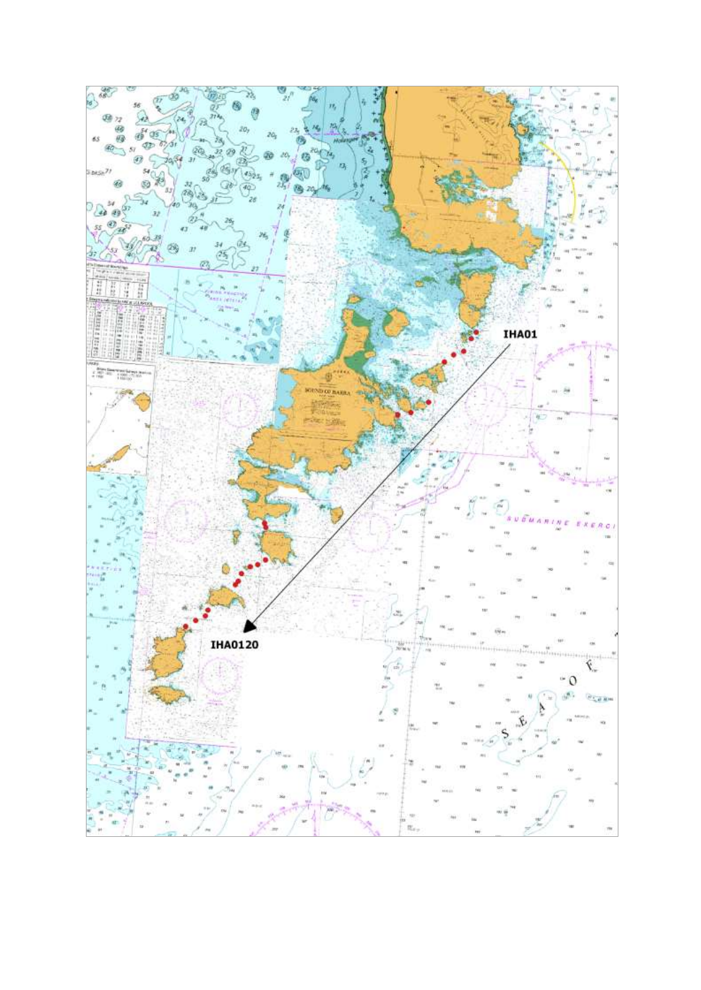